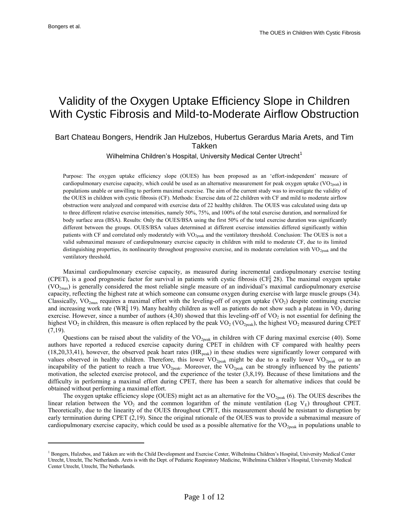$\overline{a}$ 

# Validity of the Oxygen Uptake Efficiency Slope in Children With Cystic Fibrosis and Mild-to-Moderate Airflow Obstruction

## Bart Chateau Bongers, Hendrik Jan Hulzebos, Hubertus Gerardus Maria Arets, and Tim Takken

Wilhelmina Children's Hospital, University Medical Center Utrecht $1$ 

Purpose: The oxygen uptake efficiency slope (OUES) has been proposed as an 'effort-independent' measure of cardiopulmonary exercise capacity, which could be used as an alternative measurement for peak oxygen uptake ( $VO<sub>2peak</sub>$ ) in populations unable or unwilling to perform maximal exercise. The aim of the current study was to investigate the validity of the OUES in children with cystic fibrosis (CF). Methods: Exercise data of 22 children with CF and mild to moderate airflow obstruction were analyzed and compared with exercise data of 22 healthy children. The OUES was calculated using data up to three different relative exercise intensities, namely 50%, 75%, and 100% of the total exercise duration, and normalized for body surface area (BSA). Results: Only the OUES/BSA using the first 50% of the total exercise duration was significantly different between the groups. OUES/BSA values determined at different exercise intensities differed significantly within patients with CF and correlated only moderately with VO2peak and the ventilatory threshold. Conclusion: The OUES is not a valid submaximal measure of cardiopulmonary exercise capacity in children with mild to moderate CF, due to its limited distinguishing properties, its nonlinearity throughout progressive exercise, and its moderate correlation with VO<sub>2peak</sub> and the ventilatory threshold.

Maximal cardiopulmonary exercise capacity, as measured during incremental cardiopulmonary exercise testing (CPET), is a good prognostic factor for survival in patients with cystic fibrosis (CF; 28). The maximal oxygen uptake  $(VO<sub>2max</sub>)$  is generally considered the most reliable single measure of an individual's maximal cardiopulmonary exercise capacity, reflecting the highest rate at which someone can consume oxygen during exercise with large muscle groups (34). Classically,  $VO_{2max}$  requires a maximal effort with the leveling-off of oxygen uptake  $(VO_2)$  despite continuing exercise and increasing work rate (WR; 19). Many healthy children as well as patients do not show such a plateau in  $VO<sub>2</sub>$  during exercise. However, since a number of authors  $(4,30)$  showed that this leveling-off of VO<sub>2</sub> is not essential for defining the highest VO<sub>2</sub> in children, this measure is often replaced by the peak VO<sub>2</sub> (VO<sub>2peak</sub>), the highest VO<sub>2</sub> measured during CPET  $(7,19)$ .

Questions can be raised about the validity of the  $VO_{2peak}$  in children with CF during maximal exercise (40). Some authors have reported a reduced exercise capacity during CPET in children with CF compared with healthy peers  $(18,20,33,41)$ , however, the observed peak heart rates  $(HR_{peak})$  in these studies were significantly lower compared with values observed in healthy children. Therefore, this lower  $VO_{2peak}$  might be due to a really lower  $VO_{2peak}$  or to an incapability of the patient to reach a true  $VO_{2peak}$ . Moreover, the  $VO_{2peak}$  can be strongly influenced by the patients' motivation, the selected exercise protocol, and the experience of the tester (3,8,19). Because of these limitations and the difficulty in performing a maximal effort during CPET, there has been a search for alternative indices that could be obtained without performing a maximal effort.

The oxygen uptake efficiency slope (OUES) might act as an alternative for the  $VO<sub>2peak</sub>$  (6). The OUES describes the linear relation between the VO<sub>2</sub> and the common logarithm of the minute ventilation (Log V<sub>E</sub>) throughout CPET. Theoretically, due to the linearity of the OUES throughout CPET, this measurement should be resistant to disruption by early termination during CPET (2,19). Since the original rationale of the OUES was to provide a submaximal measure of cardiopulmonary exercise capacity, which could be used as a possible alternative for the  $VO<sub>2peak</sub>$  in populations unable to

<sup>&</sup>lt;sup>1</sup> Bongers, Hulzebos, and Takken are with the Child Development and Exercise Center, Wilhelmina Children's Hospital, University Medical Center Utrecht, Utrecht, The Netherlands. Arets is with the Dept. of Pediatric Respiratory Medicine, Wilhelmina Children's Hospital, University Medical Center Utrecht, Utrecht, The Netherlands.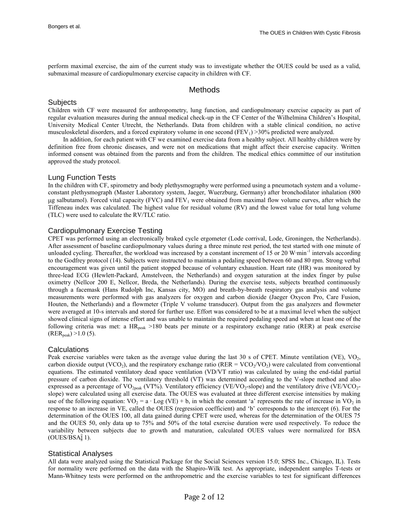perform maximal exercise, the aim of the current study was to investigate whether the OUES could be used as a valid, submaximal measure of cardiopulmonary exercise capacity in children with CF.

## Methods

## **Subjects**

Children with CF were measured for anthropometry, lung function, and cardiopulmonary exercise capacity as part of regular evaluation measures during the annual medical check-up in the CF Center of the Wilhelmina Children's Hospital, University Medical Center Utrecht, the Netherlands. Data from children with a stable clinical condition, no active musculoskeletal disorders, and a forced expiratory volume in one second  $(FEV_1) > 30\%$  predicted were analyzed.

In addition, for each patient with CF we examined exercise data from a healthy subject. All healthy children were by definition free from chronic diseases, and were not on medications that might affect their exercise capacity. Written informed consent was obtained from the parents and from the children. The medical ethics committee of our institution approved the study protocol.

## Lung Function Tests

In the children with CF, spirometry and body plethysmography were performed using a pneumotach system and a volumeconstant plethysmograph (Master Laboratory system, Jaeger, Wuerzburg, Germany) after bronchodilator inhalation (800  $\mu$ g salbutamol). Forced vital capacity (FVC) and FEV<sub>1</sub> were obtained from maximal flow volume curves, after which the Tiffeneau index was calculated. The highest value for residual volume (RV) and the lowest value for total lung volume (TLC) were used to calculate the RV/TLC ratio.

## Cardiopulmonary Exercise Testing

CPET was performed using an electronically braked cycle ergometer (Lode corrival, Lode, Groningen, the Netherlands). After assessment of baseline cardiopulmonary values during a three minute rest period, the test started with one minute of unloaded cycling. Thereafter, the workload was increased by a constant increment of 15 or 20 W·min<sup>-1</sup> intervals according to the Godfrey protocol (14). Subjects were instructed to maintain a pedaling speed between 60 and 80 rpm. Strong verbal encouragement was given until the patient stopped because of voluntary exhaustion. Heart rate (HR) was monitored by three-lead ECG (Hewlett-Packard, Amstelveen, the Netherlands) and oxygen saturation at the index finger by pulse oximetry (Nellcor 200 E, Nellcor, Breda, the Netherlands). During the exercise tests, subjects breathed continuously through a facemask (Hans Rudolph Inc, Kansas city, MO) and breath-by-breath respiratory gas analysis and volume measurements were performed with gas analyzers for oxygen and carbon dioxide (Jaeger Oxycon Pro, Care Fusion, Houten, the Netherlands) and a flowmeter (Triple V volume transducer). Output from the gas analyzers and flowmeter were averaged at 10-s intervals and stored for further use. Effort was considered to be at a maximal level when the subject showed clinical signs of intense effort and was unable to maintain the required pedaling speed and when at least one of the following criteria was met: a HR<sub>peak</sub> >180 beats per minute or a respiratory exchange ratio (RER) at peak exercise  $(RER_{peak}) > 1.0$  (5).

## **Calculations**

Peak exercise variables were taken as the average value during the last  $30$  s of CPET. Minute ventilation (VE), VO<sub>2</sub>, carbon dioxide output (VCO<sub>2</sub>), and the respiratory exchange ratio (RER = VCO<sub>2</sub>/VO<sub>2</sub>) were calculated from conventional equations. The estimated ventilatory dead space ventilation (VD/VT ratio) was calculated by using the end-tidal partial pressure of carbon dioxide. The ventilatory threshold (VT) was determined according to the V-slope method and also expressed as a percentage of VO<sub>2peak</sub> (VT%). Ventilatory efficiency (VE/VO<sub>2</sub>-slope) and the ventilatory drive (VE/VCO<sub>2</sub>slope) were calculated using all exercise data. The OUES was evaluated at three different exercise intensities by making use of the following equation:  $VO_2 = a \cdot Log (VE) + b$ , in which the constant 'a' represents the rate of increase in  $VO_2$  in response to an increase in VE, called the OUES (regression coefficient) and 'b' corresponds to the intercept (6). For the determination of the OUES 100, all data gained during CPET were used, whereas for the determination of the OUES 75 and the OUES 50, only data up to 75% and 50% of the total exercise duration were used respectively. To reduce the variability between subjects due to growth and maturation, calculated OUES values were normalized for BSA (OUES/BSA; 1).

## Statistical Analyses

All data were analyzed using the Statistical Package for the Social Sciences version 15.0; SPSS Inc., Chicago, IL). Tests for normality were performed on the data with the Shapiro-Wilk test. As appropriate, independent samples T-tests or Mann-Whitney tests were performed on the anthropometric and the exercise variables to test for significant differences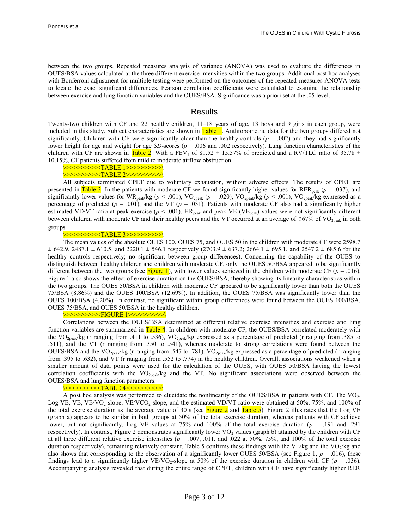between the two groups. Repeated measures analysis of variance (ANOVA) was used to evaluate the differences in OUES/BSA values calculated at the three different exercise intensities within the two groups. Additional post hoc analyses with Bonferroni adjustment for multiple testing were performed on the outcomes of the repeated-measures ANOVA tests to locate the exact significant differences. Pearson correlation coefficients were calculated to examine the relationship between exercise and lung function variables and the OUES/BSA. Significance was a priori set at the .05 level.

## **Results**

Twenty-two children with CF and 22 healthy children, 11–18 years of age, 13 boys and 9 girls in each group, were included in this study. Subject characteristics are shown in Table 1. Anthropometric data for the two groups differed not significantly. Children with CF were significantly older than the healthy controls ( $p = .002$ ) and they had significantly lower height for age and weight for age *SD*-scores (*p* = .006 and .002 respectively). Lung function characteristics of the children with CF are shown in Table 2. With a FEV<sub>1</sub> of 81.52  $\pm$  15.57% of predicted and a RV/TLC ratio of 35.78  $\pm$ 10.15%, CF patients suffered from mild to moderate airflow obstruction.

\<<<<<<<<<<TABLE 1>>>>>>>>>>>>>>

#### \<<<<<<<<<<TABLE 2>>>>>>>>>>>>>>

All subjects terminated CPET due to voluntary exhaustion, without adverse effects. The results of CPET are presented in Table 3. In the patients with moderate CF we found significantly higher values for RER<sub>peak</sub> ( $p = .037$ ), and significantly lower values for WR<sub>peak</sub>/kg ( $p$  < .001), VO<sub>2peak</sub> ( $p$  = .020), VO<sub>2peak</sub>/kg ( $p$  < .001), VO<sub>2peak</sub>/kg expressed as a percentage of predicted ( $p = .001$ ), and the VT ( $p = .031$ ). Patients with moderate CF also had a significantly higher estimated VD/VT ratio at peak exercise ( $p < .001$ ). HR<sub>peak</sub> and peak VE (VE<sub>peak</sub>) values were not significantly different between children with moderate CF and their healthy peers and the VT occurred at an average of ?67% of VO<sub>2peak</sub> in both groups.

<u><<<<<<<<<TABLE 3>>>>>>>>>>>>></u>>

The mean values of the absolute OUES 100, OUES 75, and OUES 50 in the children with moderate CF were 2598.7  $\pm$  642.9, 2487.1  $\pm$  610.5, and 2220.1  $\pm$  546.1 respectively (2703.9  $\pm$  637.2; 2664.1  $\pm$  695.1, and 2547.2  $\pm$  685.6 for the healthy controls respectively; no significant between group differences). Concerning the capability of the OUES to distinguish between healthy children and children with moderate CF, only the OUES 50/BSA appeared to be significantly different between the two groups (see Figure 1), with lower values achieved in the children with moderate CF ( $p = .016$ ). Figure 1 also shows the effect of exercise duration on the OUES/BSA, thereby showing its linearity characteristics within the two groups. The OUES 50/BSA in children with moderate CF appeared to be significantly lower than both the OUES 75/BSA (8.86%) and the OUES 100/BSA (12.69%). In addition, the OUES 75/BSA was significantly lower than the OUES 100/BSA (4.20%). In contrast, no significant within group differences were found between the OUES 100/BSA, OUES 75/BSA, and OUES 50/BSA in the healthy children.

<mark><<<<<<<<<FIGURE 1>>>>>>>>>>>>></mark>

Correlations between the OUES/BSA determined at different relative exercise intensities and exercise and lung function variables are summarized in Table 4. In children with moderate CF, the OUES/BSA correlated moderately with the VO<sub>2peak</sub>/kg (r ranging from .411 to .536), VO<sub>2peak</sub>/kg expressed as a percentage of predicted (r ranging from .385 to .511), and the VT (r ranging from .350 to .541), whereas moderate to strong correlations were found between the OUES/BSA and the VO<sub>2peak</sub>/kg (r ranging from .547 to .781), VO<sub>2peak</sub>/kg expressed as a percentage of predicted (r ranging from .395 to .632), and VT (r ranging from .552 to .774) in the healthy children. Overall, associations weakened when a smaller amount of data points were used for the calculation of the OUES, with OUES 50/BSA having the lowest correlation coefficients with the  $VO<sub>2peak</sub>/kg$  and the VT. No significant associations were observed between the OUES/BSA and lung function parameters.

#### \<<<<<<<<<<TABLE 4>>>>>>>>>>>>>>

A post hoc analysis was performed to elucidate the nonlinearity of the OUES/BSA in patients with CF. The  $VO<sub>2</sub>$ , Log VE, VE, VE/VO<sub>2</sub>-slope, VE/VCO<sub>2</sub>-slope, and the estimated VD/VT ratio were obtained at 50%, 75%, and 100% of the total exercise duration as the average value of 30 s (see Figure 2 and Table 5). Figure 2 illustrates that the Log VE (graph a) appears to be similar in both groups at 50% of the total exercise duration, whereas patients with CF achieve lower, but not significantly, Log VE values at 75% and 100% of the total exercise duration (*p* = .191 and. 291 respectively). In contrast, Figure 2 demonstrates significantly lower  $VO<sub>2</sub>$  values (graph b) attained by the children with CF at all three different relative exercise intensities ( $p = .007, .011,$  and  $.022$  at 50%, 75%, and 100% of the total exercise duration respectively), remaining relatively constant. Table 5 confirms these findings with the VE/kg and the VO<sub>2</sub>/kg and also shows that corresponding to the observation of a significantly lower OUES  $50/BSA$  (see Figure 1,  $p = .016$ ), these findings lead to a significantly higher VE/VO<sub>2</sub>-slope at 50% of the exercise duration in children with CF ( $p = .036$ ). Accompanying analysis revealed that during the entire range of CPET, children with CF have significantly higher RER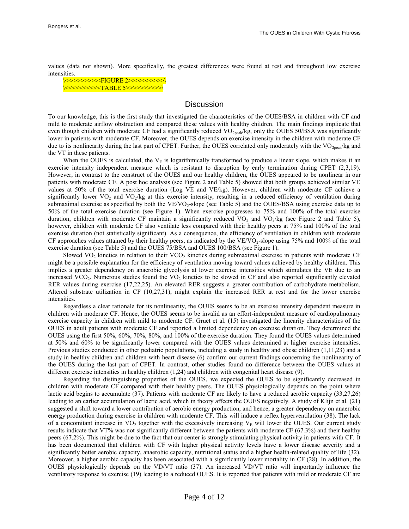values (data not shown). More specifically, the greatest differences were found at rest and throughout low exercise intensities.

\<<<<<<<<<<FIGURE 2>>>>>>>>>>\ \<<<<<<<<<<TABLE 5>>>>>>>>>>\

## **Discussion**

To our knowledge, this is the first study that investigated the characteristics of the OUES/BSA in children with CF and mild to moderate airflow obstruction and compared these values with healthy children. The main findings implicate that even though children with moderate CF had a significantly reduced  $VO<sub>2peak</sub>/kg$ , only the OUES 50/BSA was significantly lower in patients with moderate CF. Moreover, the OUES depends on exercise intensity in the children with moderate CF due to its nonlinearity during the last part of CPET. Further, the OUES correlated only moderately with the  $VO_{2\text{peak}}/kg$  and the VT in these patients.

When the OUES is calculated, the  $V<sub>E</sub>$  is logarithmically transformed to produce a linear slope, which makes it an exercise intensity independent measure which is resistant to disruption by early termination during CPET (2,3,19). However, in contrast to the construct of the OUES and our healthy children, the OUES appeared to be nonlinear in our patients with moderate CF. A post hoc analysis (see Figure 2 and Table 5) showed that both groups achieved similar VE values at 50% of the total exercise duration (Log VE and VE/kg). However, children with moderate CF achieve a significantly lower  $VO_2$  and  $VO_2$ /kg at this exercise intensity, resulting in a reduced efficiency of ventilation during submaximal exercise as specified by both the  $VE/VO_2$ -slope (see Table 5) and the OUES/BSA using exercise data up to 50% of the total exercise duration (see Figure 1). When exercise progresses to 75% and 100% of the total exercise duration, children with moderate CF maintain a significantly reduced  $VO_2$  and  $VO_2$ /kg (see Figure 2 and Table 5), however, children with moderate CF also ventilate less compared with their healthy peers at 75% and 100% of the total exercise duration (not statistically significant). As a consequence, the efficiency of ventilation in children with moderate CF approaches values attained by their healthy peers, as indicated by the VE/VO<sub>2</sub>-slope using 75% and 100% of the total exercise duration (see Table 5) and the OUES 75/BSA and OUES 100/BSA (see Figure 1).

Slowed  $VO<sub>2</sub>$  kinetics in relation to their  $VCO<sub>2</sub>$  kinetics during submaximal exercise in patients with moderate CF might be a possible explanation for the efficiency of ventilation moving toward values achieved by healthy children. This implies a greater dependency on anaerobic glycolysis at lower exercise intensities which stimulates the VE due to an increased VCO<sub>2</sub>. Numerous studies found the VO<sub>2</sub> kinetics to be slowed in CF and also reported significantly elevated RER values during exercise (17,22,25). An elevated RER suggests a greater contribution of carbohydrate metabolism. Altered substrate utilization in CF (10,27,31), might explain the increased RER at rest and for the lower exercise intensities.

Regardless a clear rationale for its nonlinearity, the OUES seems to be an exercise intensity dependent measure in children with moderate CF. Hence, the OUES seems to be invalid as an effort-independent measure of cardiopulmonary exercise capacity in children with mild to moderate CF. Gruet et al. (15) investigated the linearity characteristics of the OUES in adult patients with moderate CF and reported a limited dependency on exercise duration. They determined the OUES using the first 50%, 60%, 70%, 80%, and 100% of the exercise duration. They found the OUES values determined at 50% and 60% to be significantly lower compared with the OUES values determined at higher exercise intensities. Previous studies conducted in other pediatric populations, including a study in healthy and obese children (1,11,23) and a study in healthy children and children with heart disease (6) confirm our current findings concerning the nonlinearity of the OUES during the last part of CPET. In contrast, other studies found no difference between the OUES values at different exercise intensities in healthy children (1,24) and children with congenital heart disease (9).

Regarding the distinguishing properties of the OUES, we expected the OUES to be significantly decreased in children with moderate CF compared with their healthy peers. The OUES physiologically depends on the point where lactic acid begins to accumulate (37). Patients with moderate CF are likely to have a reduced aerobic capacity (33,27,26) leading to an earlier accumulation of lactic acid, which in theory affects the OUES negatively. A study of Klijn et al. (21) suggested a shift toward a lower contribution of aerobic energy production, and hence, a greater dependency on anaerobic energy production during exercise in children with moderate CF. This will induce a reflex hyperventilation (38). The lack of a concomitant increase in  $VO_2$  together with the excessively increasing  $V_E$  will lower the OUES. Our current study results indicate that VT% was not significantly different between the patients with moderate CF (67.3%) and their healthy peers (67.2%). This might be due to the fact that our center is strongly stimulating physical activity in patients with CF. It has been documented that children with CF with higher physical activity levels have a lower disease severity and a significantly better aerobic capacity, anaerobic capacity, nutritional status and a higher health-related quality of life (32). Moreover, a higher aerobic capacity has been associated with a significantly lower mortality in CF (28). In addition, the OUES physiologically depends on the VD/VT ratio (37). An increased VD/VT ratio will importantly influence the ventilatory response to exercise (19) leading to a reduced OUES. It is reported that patients with mild or moderate CF are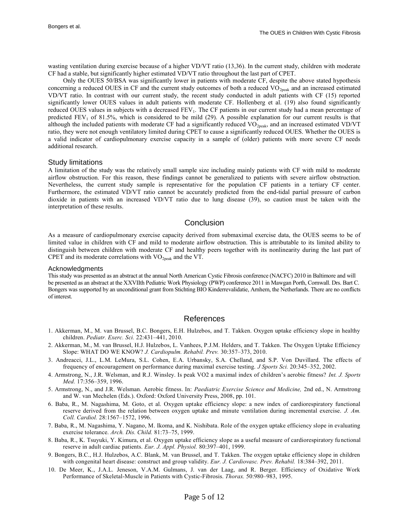wasting ventilation during exercise because of a higher VD/VT ratio (13,36). In the current study, children with moderate CF had a stable, but significantly higher estimated VD/VT ratio throughout the last part of CPET.

Only the OUES 50/BSA was significantly lower in patients with moderate CF, despite the above stated hypothesis concerning a reduced OUES in CF and the current study outcomes of both a reduced  $VO<sub>2peak</sub>$  and an increased estimated VD/VT ratio. In contrast with our current study, the recent study conducted in adult patients with CF (15) reported significantly lower OUES values in adult patients with moderate CF. Hollenberg et al. (19) also found significantly reduced OUES values in subjects with a decreased  $FEV<sub>1</sub>$ . The CF patients in our current study had a mean percentage of predicted  $FEV<sub>1</sub>$  of 81.5%, which is considered to be mild (29). A possible explanation for our current results is that although the included patients with moderate CF had a significantly reduced VO<sub>2peak</sub>, and an increased estimated VD/VT ratio, they were not enough ventilatory limited during CPET to cause a significantly reduced OUES. Whether the OUES is a valid indicator of cardiopulmonary exercise capacity in a sample of (older) patients with more severe CF needs additional research.

#### Study limitations

A limitation of the study was the relatively small sample size including mainly patients with CF with mild to moderate airflow obstruction. For this reason, these findings cannot be generalized to patients with severe airflow obstruction. Nevertheless, the current study sample is representative for the population CF patients in a tertiary CF center. Furthermore, the estimated VD/VT ratio cannot be accurately predicted from the end-tidal partial pressure of carbon dioxide in patients with an increased VD/VT ratio due to lung disease (39), so caution must be taken with the interpretation of these results.

## Conclusion

As a measure of cardiopulmonary exercise capacity derived from submaximal exercise data, the OUES seems to be of limited value in children with CF and mild to moderate airflow obstruction. This is attributable to its limited ability to distinguish between children with moderate CF and healthy peers together with its nonlinearity during the last part of CPET and its moderate correlations with  $VO<sub>2peak</sub>$  and the VT.

#### Acknowledgments

This study was presented as an abstract at the annual North American Cystic Fibrosis conference (NACFC) 2010 in Baltimore and will be presented as an abstract at the XXVIIth Pediatric Work Physiology (PWP) conference 2011 in Mawgan Porth, Cornwall. Drs. Bart C. Bongers was supported by an unconditional grant from Stichting BIO Kinderrevalidatie, Arnhem, the Netherlands. There are no conflicts of interest.

## References

- 1. Akkerman, M., M. van Brussel, B.C. Bongers, E.H. Hulzebos, and T. Takken. Oxygen uptake efficiency slope in healthy children. *Pediatr. Exerc. Sci.* 22:431–441, 2010.
- 2. Akkerman, M., M. van Brussel, H.J. Hulzebos, L. Vanhees, P.J.M. Helders, and T. Takken. The Oxygen Uptake Efficiency Slope: WHAT DO WE KNOW? *J. Cardiopulm. Rehabil. Prev.* 30:357–373, 2010.
- 3. Andreacci, J.L., L.M. LeMura, S.L. Cohen, E.A. Urbansky, S.A. Chelland, and S.P. Von Duvillard. The effects of frequency of encouragement on performance during maximal exercise testing. *J Sports Sci.* 20:345–352, 2002.
- 4. Armstrong, N., J.R. Welsman, and R.J. Winsley. Is peak VO2 a maximal index of children's aerobic fitness? *Int. J. Sports Med.* 17:356–359, 1996.
- 5. Armstrong, N., and J.R. Welsman. Aerobic fitness. In: *Paediatric Exercise Science and Medicine,* 2nd ed., N. Armstrong and W. van Mechelen (Eds.). Oxford: Oxford University Press, 2008, pp. 101.
- 6. Baba, R., M. Nagashima, M. Goto, et al. Oxygen uptake efficiency slope: a new index of cardiorespiratory functional reserve derived from the relation between oxygen uptake and minute ventilation during incremental exercise. *J. Am. Coll. Cardiol.* 28:1567–1572, 1996.
- 7. Baba, R., M. Nagashima, Y. Nagano, M. Ikoma, and K. Nishibata. Role of the oxygen uptake efficiency slope in evaluating exercise tolerance. *Arch. Dis. Child.* 81:73–75, 1999.
- 8. Baba, R., K. Tsuyuki, Y. Kimura, et al. Oxygen uptake efficiency slope as a useful measure of cardiorespiratory fu nctional reserve in adult cardiac patients. *Eur. J. Appl. Physiol.* 80:397–401, 1999.
- 9. Bongers, B.C., H.J. Hulzebos, A.C. Blank, M. van Brussel, and T. Takken. The oxygen uptake efficiency slope in children with congenital heart disease: construct and group validity. *Eur. J. Cardiovasc. Prev. Rehabil.* 18:384–392, 2011.
- 10. De Meer, K., J.A.L. Jeneson, V.A.M. Gulmans, J. van der Laag, and R. Berger. Efficiency of Oxidative Work Performance of Skeletal-Muscle in Patients with Cystic-Fibrosis. *Thorax.* 50:980–983, 1995.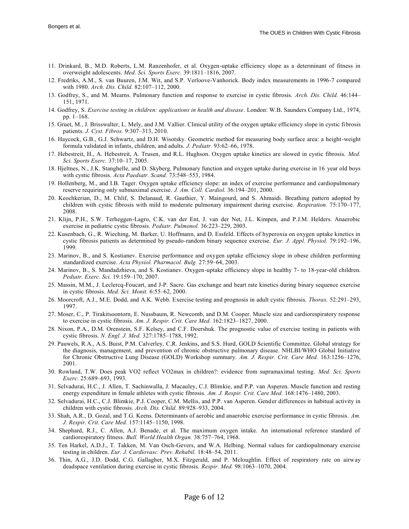- 11. Drinkard, B., M.D. Roberts, L.M. Ranzenhofer, et al. Oxygen-uptake efficiency slope as a determinant of fitness in overweight adolescents. *Med. Sci. Sports Exerc.* 39:1811–1816, 2007.
- 12. Fredriks, A.M., S. van Buuren, J.M. Wit, and S.P. Verloove-Vanhorick. Body index measurements in 1996-7 compared with 1980. *Arch. Dis. Child.* 82:107–112, 2000.
- 13. Godfrey, S., and M. Mearns. Pulmonary function and response to exercise in cystic fibrosis. *Arch. Dis. Child.* 46:144– 151, 1971.
- 14. Godfrey, S. *Exercise testing in children: applications in health and disease*. London: W.B. Saunders Company Ltd., 1974, pp. 1–168.
- 15. Gruet, M., J. Brisswalter, L. Mely, and J.M. Vallier. Clinical utility of the oxygen uptake efficiency slope in cystic fi brosis patients. *J. Cyst. Fibros.* 9:307–313, 2010.
- 16. Haycock, G.B., G.J. Schwartz, and D.H. Wisotsky. Geometric method for measuring body surface area: a height-weight formula validated in infants, children, and adults. *J. Pediatr.* 93:62–66, 1978.
- 17. Hebestreit, H., A. Hebestreit, A. Trusen, and R.L. Hughson. Oxygen uptake kinetics are slowed in cystic fibrosis. *Med. Sci. Sports Exerc.* 37:10–17, 2005.
- 18. Hjeltnes, N., J.K. Stanghelle, and D. Skyberg. Pulmonary function and oxygen uptake during exercise in 16 year old boys with cystic fibrosis. *Acta Paediatr. Scand.* 73:548–553, 1984.
- 19. Hollenberg, M., and I.B. Tager. Oxygen uptake efficiency slope: an index of exercise performance and cardiopulmonary reserve requiring only submaximal exercise. *J. Am. Coll. Cardiol.* 36:194–201, 2000.
- 20. Keochkerian, D., M. Chlif, S. Delanaud, R. Gauthier, Y. Maingourd, and S. Ahmaidi. Breathing pattern adopted by children with cystic fibrosis with mild to moderate pulmonary impairment during exercise. *Respiration.* 75:170–177, 2008.
- 21. Klijn, P.H., S.W. Terheggen-Lagro, C.K. van der Ent, J. van der Net, J.L. Kimpen, and P.J.M. Helders. Anaerobic exercise in pediatric cystic fibrosis. *Pediatr. Pulmonol.* 36:223–229, 2003.
- 22. Kusenbach, G., R. Wieching, M. Barker, U. Hoffmann, and D. Essfeld. Effects of hyperoxia on oxygen uptake kinetics in cystic fibrosis patients as determined by pseudo-random binary sequence exercise. *Eur. J. Appl. Physiol.* 79:192–196, 1999.
- 23. Marinov, B., and S. Kostianev. Exercise performance and oxygen uptake efficiency slope in obese children performing standardized exercise. *Acta Physiol. Pharmacol. Bulg.* 27:59–64, 2003.
- 24. Marinov, B., S. Mandadzhieva, and S. Kostianev. Oxygen-uptake efficiency slope in healthy 7- to 18-year-old children. *Pediatr. Exerc. Sci.* 19:159–170, 2007.
- 25. Massin, M.M., J. Leclercq-Foucart, and J-P. Sacre. Gas exchange and heart rate kinetics during binary sequence exercise in cystic fibrosis. *Med. Sci. Monit.* 6:55–62, 2000.
- 26. Moorcroft, A.J., M.E. Dodd, and A.K. Webb. Exercise testing and prognosis in adult cystic fibrosis. *Thorax.* 52:291–293, 1997.
- 27. Moser, C., P. Tirakitsoontorn, E. Nussbaum, R. Newcomb, and D.M. Cooper. Muscle size and cardiorespiratory response to exercise in cystic fibrosis. *Am. J. Respir. Crit. Care Med.* 162:1823–1827, 2000.
- 28. Nixon, P.A., D.M. Orenstein, S.F. Kelsey, and C.F. Doershuk. The prognostic value of exercise testing in patients with cystic fibrosis. *N. Engl. J. Med.* 327:1785–1788, 1992.
- 29. Pauwels, R.A., A.S. Buist, P.M. Calverley, C.R. Jenkins, and S.S. Hurd, GOLD Scientific Committee. Global strategy for the diagnosis, management, and prevention of chronic obstructive pulmonary disease. NHLBI/WHO Global Initiative for Chronic Obstructive Lung Disease (GOLD) Workshop summary. *Am. J. Respir. Crit. Care Med.* 163:1256–1276, 2001.
- 30. Rowland, T.W. Does peak VO2 reflect VO2max in children?: evidence from supramaximal testing. *Med. Sci. Sports Exerc.* 25:689–693, 1993.
- 31. Selvadurai, H.C., J. Allen, T. Sachinwalla, J. Macauley, C.J. Blimkie, and P.P. van Asperen. Muscle function and resting energy expenditure in female athletes with cystic fibrosis. *Am. J. Respir. Crit. Care Med.* 168:1476–1480, 2003.
- 32. Selvadurai, H.C., C.J. Blimkie, P.J. Cooper, C.M. Mellis, and P.P. van Asperen. Gender differences in habitual activity in children with cystic fibrosis. *Arch. Dis. Child.* 89:928–933, 2004.
- 33. Shah, A.R., D. Gozal, and T.G. Keens. Determinants of aerobic and anaerobic exercise performance in cystic fibrosis. *Am. J. Respir. Crit. Care Med.* 157:1145–1150, 1998.
- 34. Shephard, R.J., C. Allen, A.J. Benade, et al. The maximum oxygen intake. An international reference standard of cardiorespiratory fitness. *Bull. World Health Organ.* 38:757–764, 1968.
- 35. Ten Harkel, A.D.J., T. Takken, M. Van Osch-Gevers, and W.A. Helbing. Normal values for cardiopulmonary exercise testing in children. *Eur. J. Cardiovasc. Prev. Rehabil.* 18:48–54, 2011.
- 36. Thin, A.G., J.D. Dodd, C.G. Gallagher, M.X. Fitzgerald, and P. Mcloughlin. Effect of respiratory rate on airway deadspace ventilation during exercise in cystic fibrosis. *Respir. Med.* 98:1063–1070, 2004.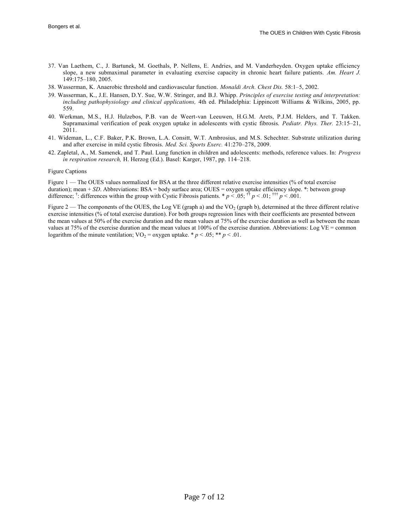- 37. Van Laethem, C., J. Bartunek, M. Goethals, P. Nellens, E. Andries, and M. Vanderheyden. Oxygen uptake efficiency slope, a new submaximal parameter in evaluating exercise capacity in chronic heart failure patients. *Am. Heart J.* 149:175–180, 2005.
- 38. Wasserman, K. Anaerobic threshold and cardiovascular function. *Monaldi Arch. Chest Dis.* 58:1–5, 2002.
- 39. Wasserman, K., J.E. Hansen, D.Y. Sue, W.W. Stringer, and B.J. Whipp. *Principles of exercise testing and interpretation: including pathophysiology and clinical applications,* 4th ed. Philadelphia: Lippincott Williams & Wilkins, 2005, pp. 559.
- 40. Werkman, M.S., H.J. Hulzebos, P.B. van de Weert-van Leeuwen, H.G.M. Arets, P.J.M. Helders, and T. Takken. Supramaximal verification of peak oxygen uptake in adolescents with cystic fibrosis. *Pediatr. Phys. Ther.* 23:15–21, 2011.
- 41. Wideman, L., C.F. Baker, P.K. Brown, L.A. Consitt, W.T. Ambrosius, and M.S. Schechter. Substrate utilization during and after exercise in mild cystic fibrosis. *Med. Sci. Sports Exerc.* 41:270–278, 2009.
- 42. Zapletal, A., M. Samenek, and T. Paul. Lung function in children and adolescents: methods, reference values. In: *Progress in respiration research,* H. Herzog (Ed.). Basel: Karger, 1987, pp. 114–218.

#### Figure Captions

Figure 1 — The OUES values normalized for BSA at the three different relative exercise intensities (% of total exercise duration); mean + *SD*. Abbreviations: BSA = body surface area; OUES = oxygen uptake efficiency slope. \*: between group difference; <sup>†</sup>: differences within the group with Cystic Fibrosis patients. \*  $p < 0.05$ ; <sup>††</sup>  $p < 0.01$ ; <sup>†††</sup>  $p < 0.01$ .

Figure 2 — The components of the OUES, the Log VE (graph a) and the  $VO<sub>2</sub>$  (graph b), determined at the three different relative exercise intensities (% of total exercise duration). For both groups regression lines with their coefficients are presented between the mean values at 50% of the exercise duration and the mean values at 75% of the exercise duration as well as between the mean values at 75% of the exercise duration and the mean values at 100% of the exercise duration. Abbreviations: Log VE = common logarithm of the minute ventilation;  $\text{VO}_2$  = oxygen uptake. \* *p* < .05; \*\* *p* < .01.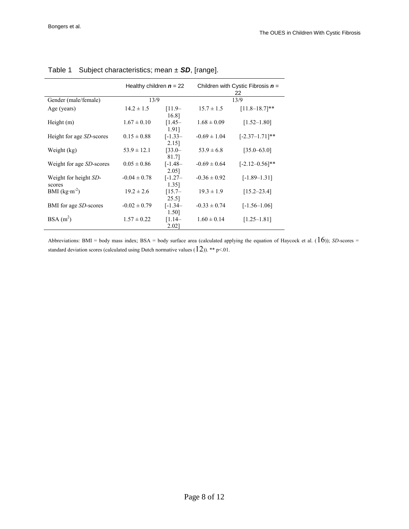|                                  | Healthy children $n = 22$ |                     | Children with Cystic Fibrosis $n =$<br>22 |                     |  |  |
|----------------------------------|---------------------------|---------------------|-------------------------------------------|---------------------|--|--|
| Gender (male/female)             |                           | 13/9                |                                           | 13/9                |  |  |
| Age (years)                      | $14.2 \pm 1.5$            | $[11.9-$<br>16.8]   | $15.7 \pm 1.5$                            | $[11.8 - 18.7]$ **  |  |  |
| Height $(m)$                     | $1.67 \pm 0.10$           | $[1.45-$<br>1.91]   | $1.68 \pm 0.09$                           | $[1.52 - 1.80]$     |  |  |
| Height for age <i>SD</i> -scores | $0.15 \pm 0.88$           | $[-1.33]$<br>2.15]  | $-0.69 \pm 1.04$                          | $[-2.37 - 1.71]$ ** |  |  |
| Weight (kg)                      | $53.9 \pm 12.1$           | $[33.0-$<br>81.7]   | $53.9 \pm 6.8$                            | $[35.0 - 63.0]$     |  |  |
| Weight for age <i>SD</i> -scores | $0.05 \pm 0.86$           | $[-1.48 -$<br>2.05] | $-0.69 \pm 0.64$                          | $[-2.12 - 0.56]$ ** |  |  |
| Weight for height SD-<br>scores  | $-0.04 \pm 0.78$          | $[-1.27 -$<br>1.35] | $-0.36 \pm 0.92$                          | $[-1.89 - 1.31]$    |  |  |
| BMI $(kg·m-2)$                   | $19.2 \pm 2.6$            | $[15.7-$<br>25.5]   | $19.3 \pm 1.9$                            | $[15.2 - 23.4]$     |  |  |
| BMI for age <i>SD</i> -scores    | $-0.02 \pm 0.79$          | $[-1.34 -$<br>1.50] | $-0.33 \pm 0.74$                          | $[-1.56 - 1.06]$    |  |  |
| $BSA(m^2)$                       | $1.57 \pm 0.22$           | $[1.14-$<br>2.02]   | $1.60 \pm 0.14$                           | $[1.25 - 1.81]$     |  |  |

Table 1 Subject characteristics; mean ± *SD*, [range].

Abbreviations: BMI = body mass index; BSA = body surface area (calculated applying the equation of Haycock et al.  $(16)$ ); *SD*-scores = standard deviation scores (calculated using Dutch normative values  $(12)$ ). \*\* p<.01.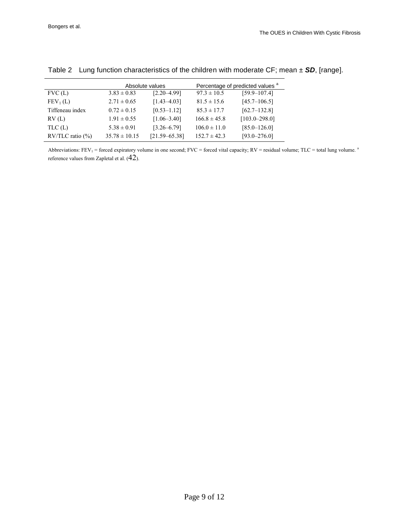|                        |                   | Absolute values   |                  | Percentage of predicted values <sup>a</sup> |  |  |
|------------------------|-------------------|-------------------|------------------|---------------------------------------------|--|--|
| FVC(L)                 | $3.83 \pm 0.83$   | $[2.20 - 4.99]$   | $97.3 \pm 10.5$  | $[59.9 - 107.4]$                            |  |  |
| FEV <sub>1</sub> (L)   | $2.71 \pm 0.65$   | $[1.43 - 4.03]$   | $81.5 \pm 15.6$  | $[45.7 - 106.5]$                            |  |  |
| Tiffeneau index        | $0.72 \pm 0.15$   | $[0.53 - 1.12]$   | $85.3 \pm 17.7$  | $[62.7-132.8]$                              |  |  |
| RV(L)                  | $1.91 \pm 0.55$   | $[1.06 - 3.40]$   | $166.8 \pm 45.8$ | $[103.0 - 298.0]$                           |  |  |
| TLC(L)                 | $5.38 \pm 0.91$   | $[3.26 - 6.79]$   | $106.0 \pm 11.0$ | $[85.0 - 126.0]$                            |  |  |
| $RV/TLC$ ratio $(\% )$ | $35.78 \pm 10.15$ | $[21.59 - 65.38]$ | $152.7 \pm 42.3$ | $[93.0 - 276.0]$                            |  |  |

Table 2 Lung function characteristics of the children with moderate CF; mean ± *SD*, [range].

Abbreviations:  $FEV_1$  = forced expiratory volume in one second;  $FVC$  = forced vital capacity;  $RV$  = residual volume;  $TLC$  = total lung volume.<sup>2</sup> reference values from Zapletal et al. (42).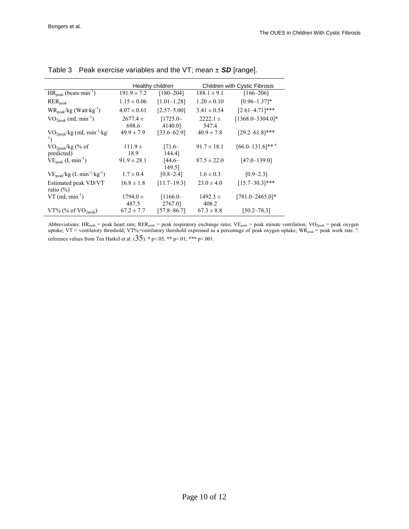|                                                 | Healthy children      |                       | Children with Cystic Fibrosis |                                  |  |
|-------------------------------------------------|-----------------------|-----------------------|-------------------------------|----------------------------------|--|
| $HR_{peak}$ (beats $min^{-1}$ )                 | $191.9 \pm 7.2$       | $[180 - 204]$         | $188.1 \pm 9.1$               | $[166 - 206]$                    |  |
| $RER_{peak}$                                    | $1.15 \pm 0.06$       | $[1.01 - 1.28]$       | $1.20 \pm 0.10$               | $[0.96 - 1.37]$ *                |  |
| $WR_{peak}/kg$ (Watt $\cdot$ kg <sup>-1</sup> ) | $4.07 \pm 0.61$       | $[2.57 - 5.00]$       | $3.41 \pm 0.54$               | $[2.61 - 4.71]$ ***              |  |
| $\rm VO_{2peak}$ (mL·min <sup>-1</sup> )        | $2677.4 \pm$<br>698.6 | $[1725.0-$<br>4140.01 | $2222.1 \pm$<br>547.4         | $[1368.0 - 3304.0]$ *            |  |
| $VO2peak/kg (mL·min-1 kg)$<br>$\mathbf{1}$      | $49.9 \pm 7.9$        | $[33.6 - 62.9]$       | $40.9 \pm 7.8$                | $[29.2 - 61.8]$ ***              |  |
| $VO2peak/kg$ (% of                              | $111.9 +$             | $[71.6-$              | $91.7 \pm 18.1$               | $[66.0 - 131.6]$ ** <sup>a</sup> |  |
| predicted)                                      | 18.9                  | 144.4]                |                               |                                  |  |
| $VEpeak (L·min-1)$                              | $91.9 \pm 28.1$       | $[44.6-$<br>149.51    | $87.5 \pm 22.0$               | $[47.0 - 139.0]$                 |  |
| $VEpeak/kg (L·min-1·kg-1)$                      | $1.7 \pm 0.4$         | $[0.8 - 2.4]$         | $1.6 \pm 0.3$                 | $[0.9 - 2.3]$                    |  |
| Estimated peak VD/VT<br>ratio $(\% )$           | $16.8 \pm 1.8$        | $[11.7-19.3]$         | $23.0 \pm 4.0$                | $[15.7 - 30.3]$ ***              |  |
| $VT$ (mL·min <sup>-1</sup> )                    | $1794.0 \pm$          | $[1166.0-$            | $1492.3 +$                    | $[781.0 - 2465.0]$ *             |  |
|                                                 | 487.5                 | 2767.0]               | 408.2                         |                                  |  |
| VT% (% of $VO2peak$ )                           | $67.2 \pm 7.7$        | $[57.8 - 86.7]$       | $67.3 \pm 8.8$                | $[50.2 - 78.3]$                  |  |

| Table 3 Peak exercise variables and the VT; mean $\pm$ SD [range]. |
|--------------------------------------------------------------------|
|--------------------------------------------------------------------|

Abbreviations: HR<sub>peak</sub> = peak heart rate; RER<sub>peak</sub> = peak respiratory exchange ratio; VE<sub>peak</sub> = peak minute ventilation; VO<sub>2peak</sub> = peak oxygen uptake; VT = ventilatory threshold; VT%=ventilatory threshold expressed as a percentage of peak oxygen uptake; WR<sub>peak</sub> = peak work rate. <sup>a</sup>: reference values from Ten Harkel et al.  $(35)$ . \* p<05; \*\* p<01; \*\*\* p<001.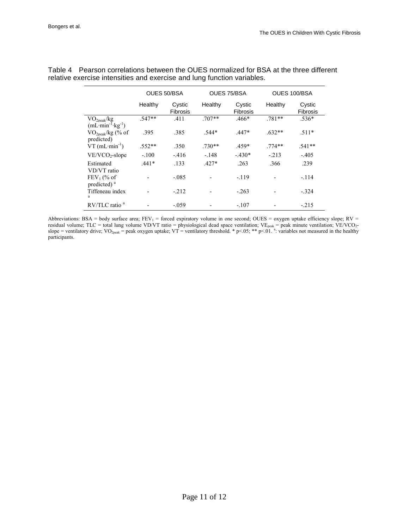|                                              | OUES 50/BSA |                    |          | OUES 75/BSA               |          | OUES 100/BSA              |  |
|----------------------------------------------|-------------|--------------------|----------|---------------------------|----------|---------------------------|--|
|                                              | Healthy     | Cystic<br>Fibrosis | Healthy  | Cystic<br><b>Fibrosis</b> | Healthy  | Cystic<br><b>Fibrosis</b> |  |
| VO <sub>2peak</sub> /kg<br>$(mL·min-1·kg-1)$ | $.547**$    | .411               | $.707**$ | $.466*$                   | $.781**$ | $.536*$                   |  |
| $\rm VO_{2peak}/kg$ (% of<br>predicted)      | .395        | .385               | $.544*$  | $.447*$                   | $.632**$ | $.511*$                   |  |
| $VT$ (mL·min <sup>-1</sup> )                 | $.552**$    | .350               | $.730**$ | $.459*$                   | $.774**$ | $.541**$                  |  |
| $VE/VCO_2$ -slope                            | $-.100$     | $-416$             | $-148$   | $-.430*$                  | $-213$   | $-.405$                   |  |
| Estimated<br>VD/VT ratio                     | $.441*$     | .133               | $.427*$  | .263                      | .366     | .239                      |  |
| $FEV1$ (% of<br>predicted) <sup>a</sup>      |             | $-085$             |          | $-119$                    |          | $-.114$                   |  |
| Tiffeneau index<br>a                         |             | $-.212$            |          | $-.263$                   |          | $-.324$                   |  |
| $RV/TLC$ ratio <sup>a</sup>                  |             | $-0.59$            |          | $-107$                    |          | $-215$                    |  |

Table 4 Pearson correlations between the OUES normalized for BSA at the three different relative exercise intensities and exercise and lung function variables.

Abbreviations: BSA = body surface area;  $FEV_1$  = forced expiratory volume in one second; OUES = oxygen uptake efficiency slope; RV = residual volume; TLC = total lung volume VD/VT ratio = physiological dead space ventilation; VE<sub>peak</sub> = peak minute ventilation; VE/VCO<sub>2</sub>slope = ventilatory drive; VO<sub>2peak</sub> = peak oxygen uptake; VT = ventilatory threshold. \* p<.05; \*\* p<.01. <sup>a</sup>: variables not measured in the healthy participants.